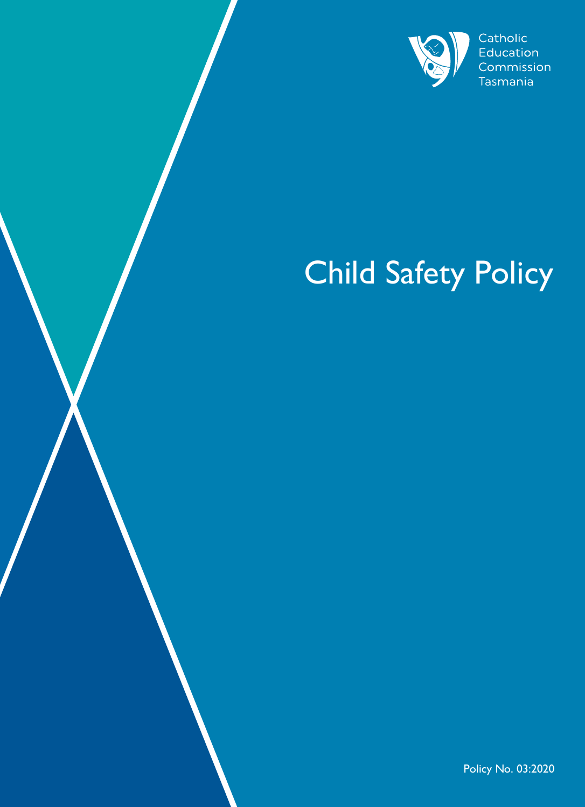

# Child Safety Policy

Policy No. 03:2020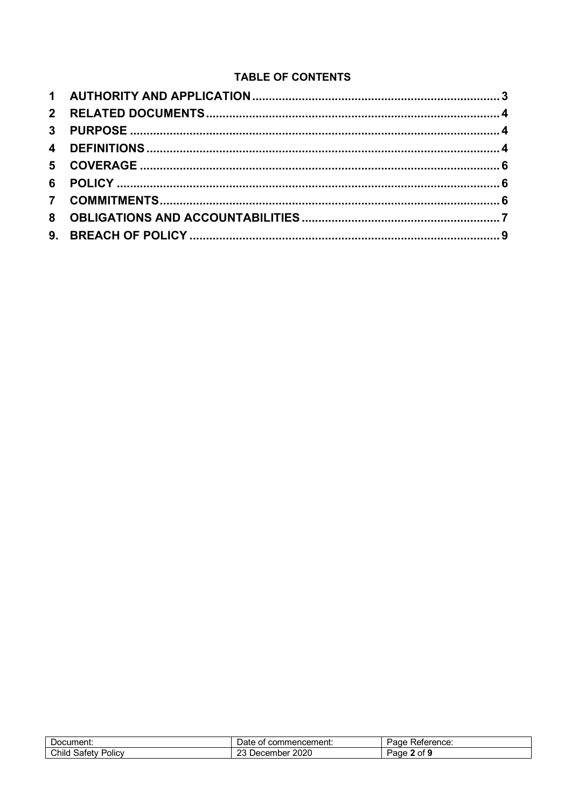## **TABLE OF CONTENTS**

| Document:                        | _<br>∵ommencement:<br>Jate<br>ОT<br>cor | ≺eference:<br>Page<br>___ |
|----------------------------------|-----------------------------------------|---------------------------|
| Child<br>-<br>َ atetyد<br>Policy | 2020<br>ົ<br>December<br>2 U            | . ot '<br>Page            |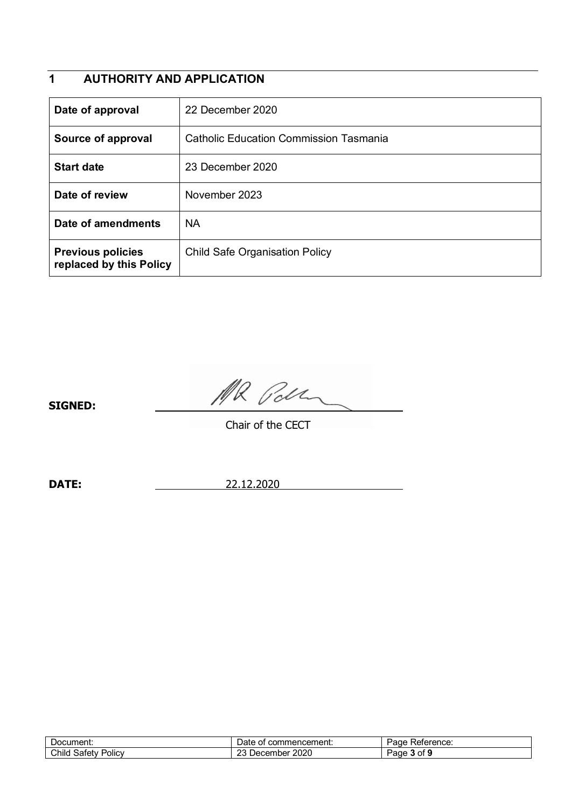## **1 AUTHORITY AND APPLICATION**

| Date of approval                                    | 22 December 2020                              |
|-----------------------------------------------------|-----------------------------------------------|
| Source of approval                                  | <b>Catholic Education Commission Tasmania</b> |
| <b>Start date</b>                                   | 23 December 2020                              |
| Date of review                                      | November 2023                                 |
| Date of amendments                                  | <b>NA</b>                                     |
| <b>Previous policies</b><br>replaced by this Policy | <b>Child Safe Organisation Policy</b>         |

**SIGNED:**

MR Pallen

Chair of the CECT

**DATE:** 22.12.2020

| -<br>∙cument.<br>്ഗറ           | mmencement:<br>$\sim$<br>cor<br>Jaie.<br>. UL | .eference: |
|--------------------------------|-----------------------------------------------|------------|
| <br>Child<br>atetv:د<br>Policy | 2020<br>$\sim$<br>cember<br>⊃er<br>∠∪         | ΩŤ<br>aue  |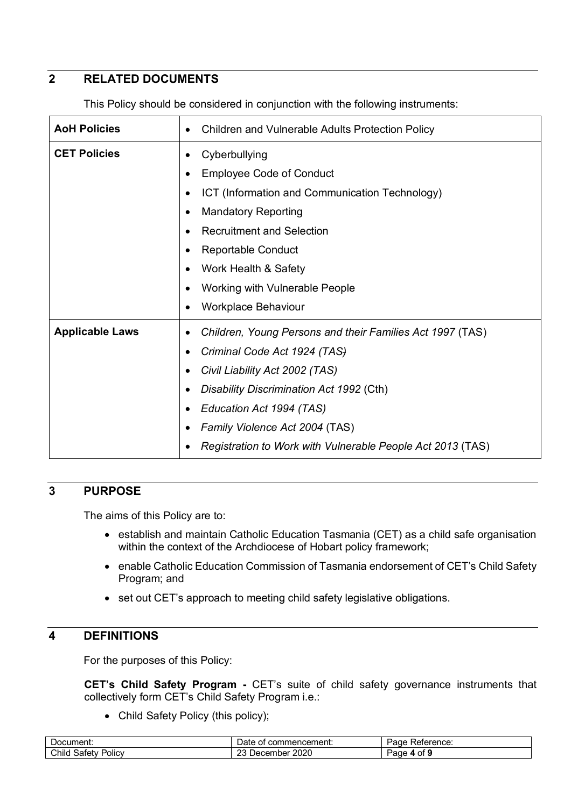## **2 RELATED DOCUMENTS**

This Policy should be considered in conjunction with the following instruments:

| <b>AoH Policies</b>    | <b>Children and Vulnerable Adults Protection Policy</b>    |
|------------------------|------------------------------------------------------------|
| <b>CET Policies</b>    | Cyberbullying                                              |
|                        | <b>Employee Code of Conduct</b>                            |
|                        | ICT (Information and Communication Technology)             |
|                        | <b>Mandatory Reporting</b>                                 |
|                        | <b>Recruitment and Selection</b>                           |
|                        | <b>Reportable Conduct</b>                                  |
|                        | Work Health & Safety                                       |
|                        | Working with Vulnerable People                             |
|                        | Workplace Behaviour                                        |
| <b>Applicable Laws</b> | Children, Young Persons and their Families Act 1997 (TAS)  |
|                        | Criminal Code Act 1924 (TAS)                               |
|                        | Civil Liability Act 2002 (TAS)                             |
|                        | Disability Discrimination Act 1992 (Cth)                   |
|                        | Education Act 1994 (TAS)                                   |
|                        | Family Violence Act 2004 (TAS)                             |
|                        | Registration to Work with Vulnerable People Act 2013 (TAS) |

## **3 PURPOSE**

The aims of this Policy are to:

- establish and maintain Catholic Education Tasmania (CET) as a child safe organisation within the context of the Archdiocese of Hobart policy framework;
- enable Catholic Education Commission of Tasmania endorsement of CET's Child Safety Program; and
- set out CET's approach to meeting child safety legislative obligations.

## **4 DEFINITIONS**

For the purposes of this Policy:

**CET's Child Safety Program -** CET's suite of child safety governance instruments that collectively form CET's Child Safety Program i.e.:

• Child Safety Policy (this policy);

| -<br>Document:              | mencement:<br>Jate<br>0E<br>- CO 31         | -<br>Reference:<br>Page        |
|-----------------------------|---------------------------------------------|--------------------------------|
| Chilc<br>' atetyد<br>Policy | 2020<br>$\sim$<br>-<br>nber.<br>⊃ecem<br>∠◡ | . of '<br>$\sim$<br>aar<br>. . |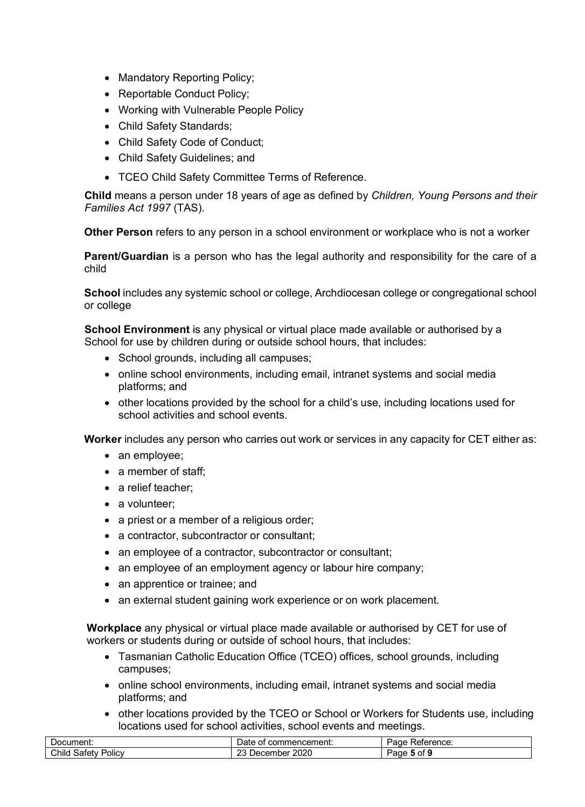- Mandatory Reporting Policy;
- Reportable Conduct Policy;
- Working with Vulnerable People Policy
- Child Safety Standards;
- Child Safety Code of Conduct;
- Child Safety Guidelines; and
- TCEO Child Safety Committee Terms of Reference.

**Child** means a person under 18 years of age as defined by *Children, Young Persons and their Families Act 1997* (TAS).

**Other Person** refers to any person in a school environment or workplace who is not a worker

**Parent/Guardian** is a person who has the legal authority and responsibility for the care of a child

**School** includes any systemic school or college, Archdiocesan college or congregational school or college

**School Environment** is any physical or virtual place made available or authorised by a School for use by children during or outside school hours, that includes:

- School grounds, including all campuses;
- online school environments, including email, intranet systems and social media platforms; and
- other locations provided by the school for a child's use, including locations used for school activities and school events.

**Worker** includes any person who carries out work or services in any capacity for CET either as:

- an employee;
- a member of staff:
- a relief teacher:
- a volunteer:
- a priest or a member of a religious order;
- a contractor, subcontractor or consultant;
- an employee of a contractor, subcontractor or consultant;
- an employee of an employment agency or labour hire company;
- an apprentice or trainee; and
- an external student gaining work experience or on work placement.

**Workplace** any physical or virtual place made available or authorised by CET for use of workers or students during or outside of school hours, that includes:

- Tasmanian Catholic Education Office (TCEO) offices, school grounds, including campuses;
- online school environments, including email, intranet systems and social media platforms; and
- other locations provided by the TCEO or School or Workers for Students use, including locations used for school activities, school events and meetings.

| Document:<br>______        | Jate<br>commencement:<br>- 01   | _<br>Reference:<br>Page<br>__ |
|----------------------------|---------------------------------|-------------------------------|
| Child<br>Policy<br>۔atetvد | 2020<br>$\sim$<br>nber<br>Decem | ′ of د<br>aae                 |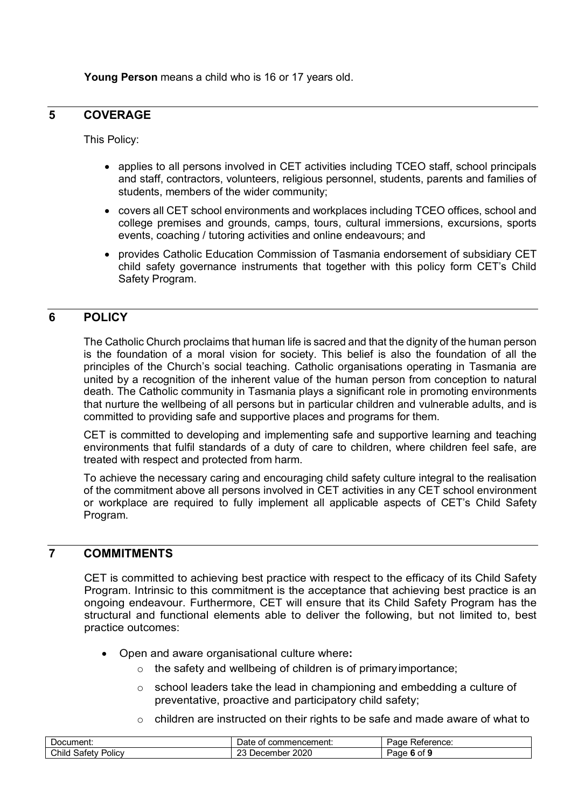**Young Person** means a child who is 16 or 17 years old.

## **5 COVERAGE**

This Policy:

- applies to all persons involved in CET activities including TCEO staff, school principals and staff, contractors, volunteers, religious personnel, students, parents and families of students, members of the wider community;
- covers all CET school environments and workplaces including TCEO offices, school and college premises and grounds, camps, tours, cultural immersions, excursions, sports events, coaching / tutoring activities and online endeavours; and
- provides Catholic Education Commission of Tasmania endorsement of subsidiary CET child safety governance instruments that together with this policy form CET's Child Safety Program.

## **6 POLICY**

The Catholic Church proclaims that human life is sacred and that the dignity of the human person is the foundation of a moral vision for society. This belief is also the foundation of all the principles of the Church's social teaching. Catholic organisations operating in Tasmania are united by a recognition of the inherent value of the human person from conception to natural death. The Catholic community in Tasmania plays a significant role in promoting environments that nurture the wellbeing of all persons but in particular children and vulnerable adults, and is committed to providing safe and supportive places and programs for them.

CET is committed to developing and implementing safe and supportive learning and teaching environments that fulfil standards of a duty of care to children, where children feel safe, are treated with respect and protected from harm.

To achieve the necessary caring and encouraging child safety culture integral to the realisation of the commitment above all persons involved in CET activities in any CET school environment or workplace are required to fully implement all applicable aspects of CET's Child Safety Program.

## **7 COMMITMENTS**

CET is committed to achieving best practice with respect to the efficacy of its Child Safety Program. Intrinsic to this commitment is the acceptance that achieving best practice is an ongoing endeavour. Furthermore, CET will ensure that its Child Safety Program has the structural and functional elements able to deliver the following, but not limited to, best practice outcomes:

- Open and aware organisational culture where**:**
	- o the safety and wellbeing of children is of primary importance;
	- $\circ$  school leaders take the lead in championing and embedding a culture of preventative, proactive and participatory child safety;
	- $\circ$  children are instructed on their rights to be safe and made aware of what to

| Document:                                                    | commencement:<br>Date<br>0.          | Reference:<br>Page |
|--------------------------------------------------------------|--------------------------------------|--------------------|
| Child<br>-<br>$\overline{\phantom{a}}$<br>Policy<br>' atetyد | 2020<br>$\sim$<br>_<br>December<br>້ | οt<br>Page<br>     |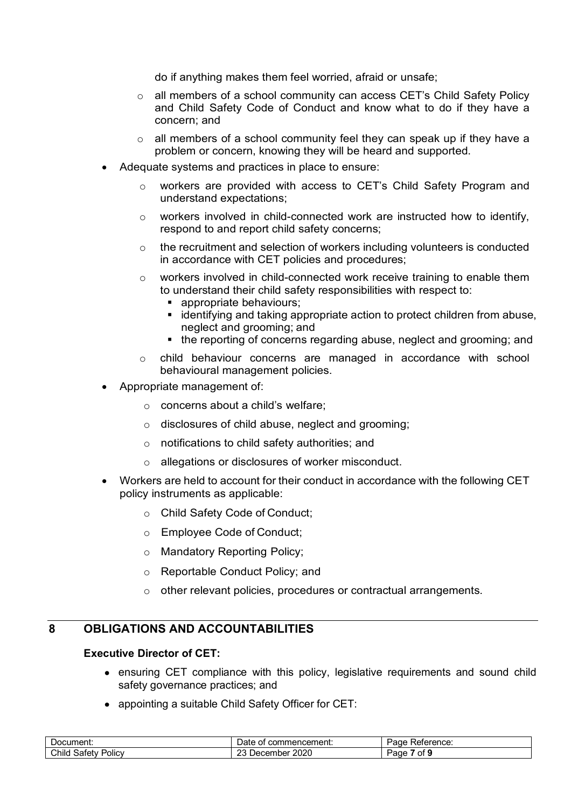do if anything makes them feel worried, afraid or unsafe;

- o all members of a school community can access CET's Child Safety Policy and Child Safety Code of Conduct and know what to do if they have a concern; and
- $\circ$  all members of a school community feel they can speak up if they have a problem or concern, knowing they will be heard and supported.
- Adequate systems and practices in place to ensure:
	- workers are provided with access to CET's Child Safety Program and understand expectations;
	- o workers involved in child-connected work are instructed how to identify, respond to and report child safety concerns;
	- $\circ$  the recruitment and selection of workers including volunteers is conducted in accordance with CET policies and procedures;
	- $\circ$  workers involved in child-connected work receive training to enable them to understand their child safety responsibilities with respect to:
		- § appropriate behaviours;
		- identifying and taking appropriate action to protect children from abuse, neglect and grooming; and
		- the reporting of concerns regarding abuse, neglect and grooming; and
	- o child behaviour concerns are managed in accordance with school behavioural management policies.
- Appropriate management of:
	- o concerns about a child's welfare;
	- o disclosures of child abuse, neglect and grooming;
	- o notifications to child safety authorities; and
	- o allegations or disclosures of worker misconduct.
- Workers are held to account for their conduct in accordance with the following CET policy instruments as applicable:
	- o Child Safety Code of Conduct;
	- o Employee Code of Conduct;
	- o Mandatory Reporting Policy;
	- o Reportable Conduct Policy; and
	- o other relevant policies, procedures or contractual arrangements.

## **8 OBLIGATIONS AND ACCOUNTABILITIES**

#### **Executive Director of CET:**

- ensuring CET compliance with this policy, legislative requirements and sound child safety governance practices; and
- appointing a suitable Child Safety Officer for CET:

| -<br>Document:<br>$\sim$ $\sim$      | Jate<br>nmencement:<br>con<br>ΩT  | -<br>Reference:<br>Page |
|--------------------------------------|-----------------------------------|-------------------------|
| <br>Child<br>-<br>Policy<br>satetv i | 2020<br>c<br><b>Decem</b><br>nber | _<br>0t<br>Page         |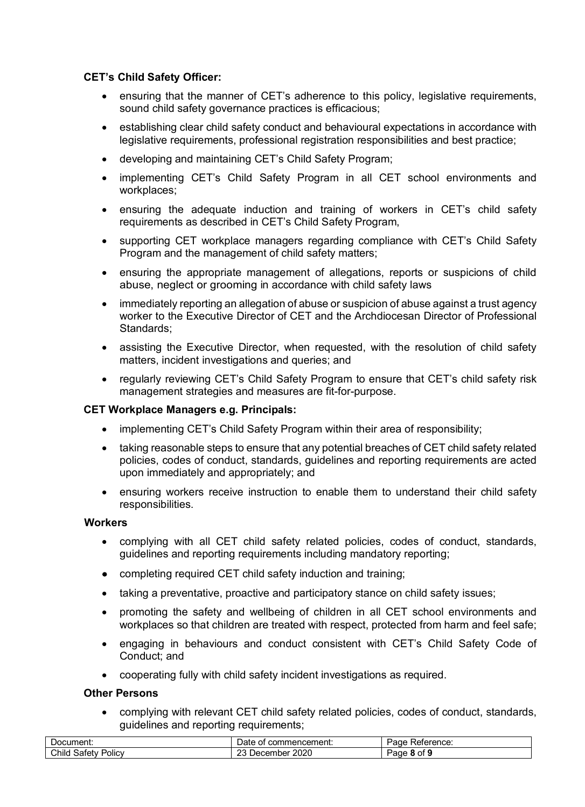## **CET's Child Safety Officer:**

- ensuring that the manner of CET's adherence to this policy, legislative requirements, sound child safety governance practices is efficacious;
- establishing clear child safety conduct and behavioural expectations in accordance with legislative requirements, professional registration responsibilities and best practice;
- developing and maintaining CET's Child Safety Program;
- implementing CET's Child Safety Program in all CET school environments and workplaces;
- ensuring the adequate induction and training of workers in CET's child safety requirements as described in CET's Child Safety Program,
- supporting CET workplace managers regarding compliance with CET's Child Safety Program and the management of child safety matters;
- ensuring the appropriate management of allegations, reports or suspicions of child abuse, neglect or grooming in accordance with child safety laws
- immediately reporting an allegation of abuse or suspicion of abuse against a trust agency worker to the Executive Director of CET and the Archdiocesan Director of Professional Standards;
- assisting the Executive Director, when requested, with the resolution of child safety matters, incident investigations and queries; and
- regularly reviewing CET's Child Safety Program to ensure that CET's child safety risk management strategies and measures are fit-for-purpose.

#### **CET Workplace Managers e.g. Principals:**

- implementing CET's Child Safety Program within their area of responsibility;
- taking reasonable steps to ensure that any potential breaches of CET child safety related policies, codes of conduct, standards, guidelines and reporting requirements are acted upon immediately and appropriately; and
- ensuring workers receive instruction to enable them to understand their child safety responsibilities.

#### **Workers**

- complying with all CET child safety related policies, codes of conduct, standards, guidelines and reporting requirements including mandatory reporting;
- completing required CET child safety induction and training;
- taking a preventative, proactive and participatory stance on child safety issues;
- promoting the safety and wellbeing of children in all CET school environments and workplaces so that children are treated with respect, protected from harm and feel safe;
- engaging in behaviours and conduct consistent with CET's Child Safety Code of Conduct; and
- cooperating fully with child safety incident investigations as required.

#### **Other Persons**

• complying with relevant CET child safety related policies, codes of conduct, standards, guidelines and reporting requirements;

| Document:<br>_____         | _<br>⊃ate<br>commencement:<br>ີ      | -<br>Reference:<br>Page                         |
|----------------------------|--------------------------------------|-------------------------------------------------|
| Child<br>Policy<br>۔atetvد | 2020<br>$\sim$<br>nber<br>Decer<br>. | nf ^<br>_<br>$\sim$ $\sim$ $\sim$ $\sim$<br>au- |